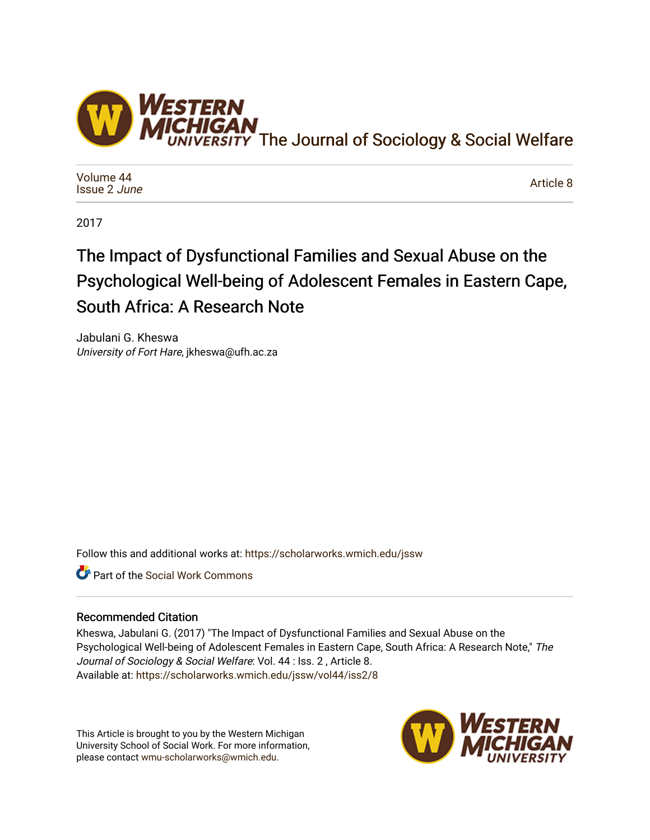

[Volume 44](https://scholarworks.wmich.edu/jssw/vol44) [Issue 2](https://scholarworks.wmich.edu/jssw/vol44/iss2) June

[Article 8](https://scholarworks.wmich.edu/jssw/vol44/iss2/8) 

2017

# The Impact of Dysfunctional Families and Sexual Abuse on the Psychological Well-being of Adolescent Females in Eastern Cape, South Africa: A Research Note

Jabulani G. Kheswa University of Fort Hare, jkheswa@ufh.ac.za

Follow this and additional works at: [https://scholarworks.wmich.edu/jssw](https://scholarworks.wmich.edu/jssw?utm_source=scholarworks.wmich.edu%2Fjssw%2Fvol44%2Fiss2%2F8&utm_medium=PDF&utm_campaign=PDFCoverPages) 

Part of the [Social Work Commons](http://network.bepress.com/hgg/discipline/713?utm_source=scholarworks.wmich.edu%2Fjssw%2Fvol44%2Fiss2%2F8&utm_medium=PDF&utm_campaign=PDFCoverPages)

# Recommended Citation

Kheswa, Jabulani G. (2017) "The Impact of Dysfunctional Families and Sexual Abuse on the Psychological Well-being of Adolescent Females in Eastern Cape, South Africa: A Research Note," The Journal of Sociology & Social Welfare: Vol. 44 : Iss. 2 , Article 8. Available at: [https://scholarworks.wmich.edu/jssw/vol44/iss2/8](https://scholarworks.wmich.edu/jssw/vol44/iss2/8?utm_source=scholarworks.wmich.edu%2Fjssw%2Fvol44%2Fiss2%2F8&utm_medium=PDF&utm_campaign=PDFCoverPages)

This Article is brought to you by the Western Michigan University School of Social Work. For more information, please contact [wmu-scholarworks@wmich.edu.](mailto:wmu-scholarworks@wmich.edu)

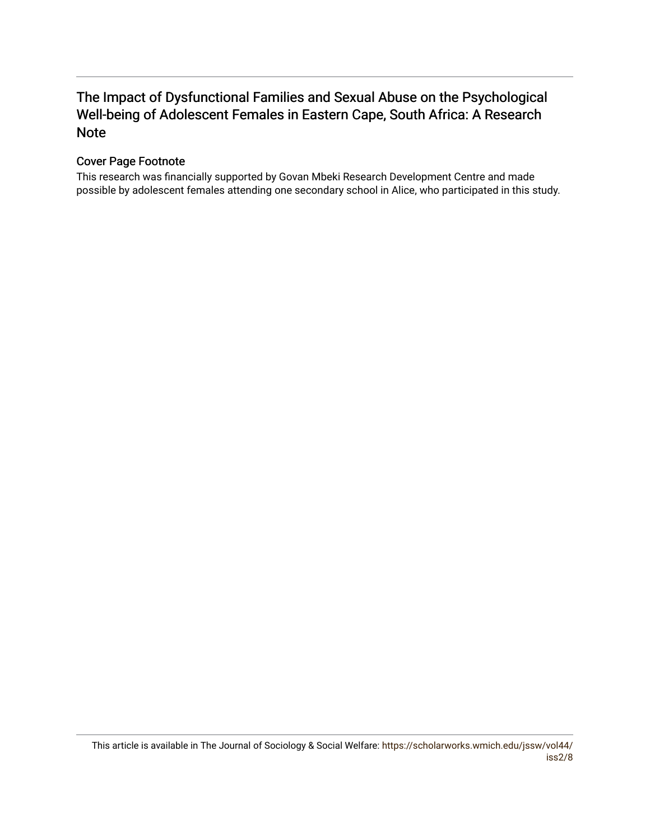# The Impact of Dysfunctional Families and Sexual Abuse on the Psychological Well-being of Adolescent Females in Eastern Cape, South Africa: A Research Note

# Cover Page Footnote

This research was financially supported by Govan Mbeki Research Development Centre and made possible by adolescent females attending one secondary school in Alice, who participated in this study.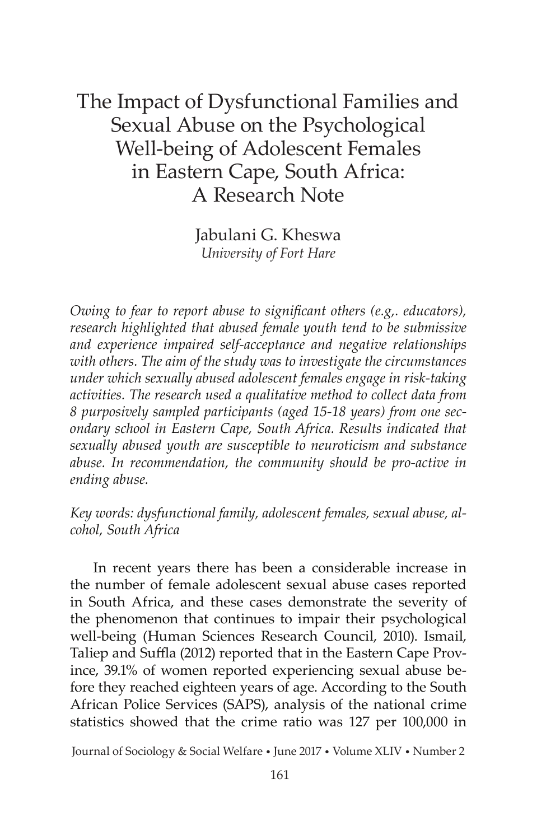# The Impact of Dysfunctional Families and Sexual Abuse on the Psychological Well-being of Adolescent Females in Eastern Cape, South Africa: A Research Note

Jabulani G. Kheswa *University of Fort Hare*

*Owing to fear to report abuse to significant others (e.g,. educators), research highlighted that abused female youth tend to be submissive and experience impaired self-acceptance and negative relationships with others. The aim of the study was to investigate the circumstances under which sexually abused adolescent females engage in risk-taking activities. The research used a qualitative method to collect data from 8 purposively sampled participants (aged 15-18 years) from one secondary school in Eastern Cape, South Africa. Results indicated that sexually abused youth are susceptible to neuroticism and substance abuse. In recommendation, the community should be pro-active in ending abuse.*

*Key words: dysfunctional family, adolescent females, sexual abuse, alcohol, South Africa*

 In recent years there has been a considerable increase in the number of female adolescent sexual abuse cases reported in South Africa, and these cases demonstrate the severity of the phenomenon that continues to impair their psychological well-being (Human Sciences Research Council, 2010). Ismail, Taliep and Suffla (2012) reported that in the Eastern Cape Province, 39.1% of women reported experiencing sexual abuse before they reached eighteen years of age. According to the South African Police Services (SAPS), analysis of the national crime statistics showed that the crime ratio was 127 per 100,000 in

Journal of Sociology & Social Welfare • June 2017 • Volume XLIV • Number 2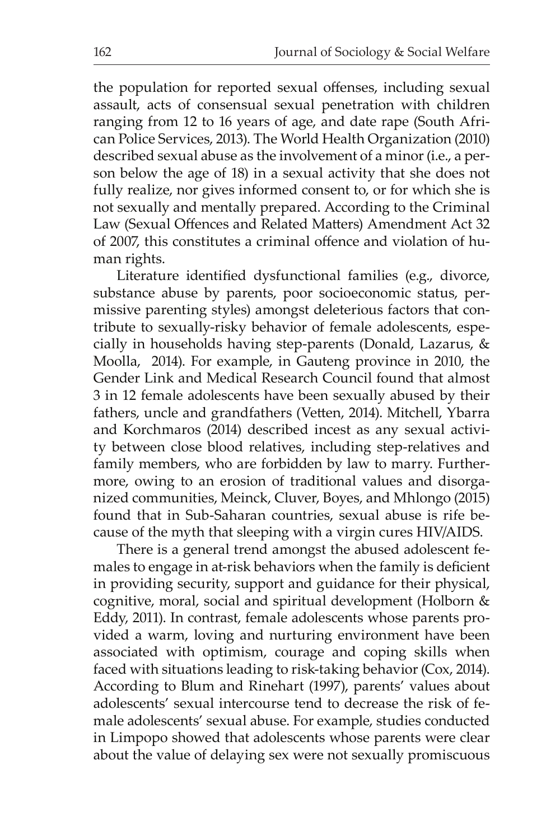the population for reported sexual offenses, including sexual assault, acts of consensual sexual penetration with children ranging from 12 to 16 years of age, and date rape (South African Police Services, 2013). The World Health Organization (2010) described sexual abuse as the involvement of a minor (i.e., a person below the age of 18) in a sexual activity that she does not fully realize, nor gives informed consent to, or for which she is not sexually and mentally prepared. According to the Criminal Law (Sexual Offences and Related Matters) Amendment Act 32 of 2007, this constitutes a criminal offence and violation of human rights.

Literature identified dysfunctional families (e.g., divorce, substance abuse by parents, poor socioeconomic status, permissive parenting styles) amongst deleterious factors that contribute to sexually-risky behavior of female adolescents, especially in households having step-parents (Donald, Lazarus, & Moolla, 2014). For example, in Gauteng province in 2010, the Gender Link and Medical Research Council found that almost 3 in 12 female adolescents have been sexually abused by their fathers, uncle and grandfathers (Vetten, 2014). Mitchell, Ybarra and Korchmaros (2014) described incest as any sexual activity between close blood relatives, including step-relatives and family members, who are forbidden by law to marry. Furthermore, owing to an erosion of traditional values and disorganized communities, Meinck, Cluver, Boyes, and Mhlongo (2015) found that in Sub-Saharan countries, sexual abuse is rife because of the myth that sleeping with a virgin cures HIV/AIDS.

 There is a general trend amongst the abused adolescent females to engage in at-risk behaviors when the family is deficient in providing security, support and guidance for their physical, cognitive, moral, social and spiritual development (Holborn & Eddy, 2011). In contrast, female adolescents whose parents provided a warm, loving and nurturing environment have been associated with optimism, courage and coping skills when faced with situations leading to risk-taking behavior (Cox, 2014). According to Blum and Rinehart (1997), parents' values about adolescents' sexual intercourse tend to decrease the risk of female adolescents' sexual abuse. For example, studies conducted in Limpopo showed that adolescents whose parents were clear about the value of delaying sex were not sexually promiscuous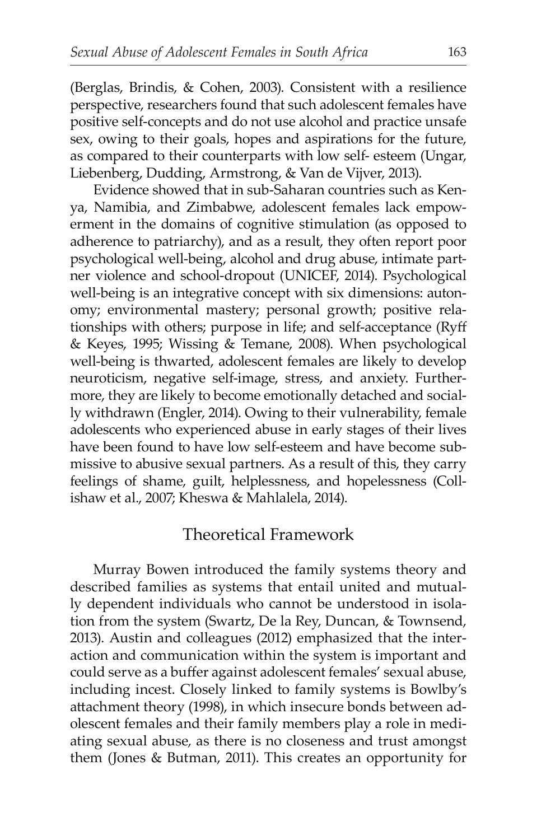(Berglas, Brindis, & Cohen, 2003). Consistent with a resilience perspective, researchers found that such adolescent females have positive self-concepts and do not use alcohol and practice unsafe sex, owing to their goals, hopes and aspirations for the future, as compared to their counterparts with low self- esteem (Ungar, Liebenberg, Dudding, Armstrong, & Van de Vijver, 2013).

 Evidence showed that in sub-Saharan countries such as Kenya, Namibia, and Zimbabwe, adolescent females lack empowerment in the domains of cognitive stimulation (as opposed to adherence to patriarchy), and as a result, they often report poor psychological well-being, alcohol and drug abuse, intimate partner violence and school-dropout (UNICEF, 2014). Psychological well-being is an integrative concept with six dimensions: autonomy; environmental mastery; personal growth; positive relationships with others; purpose in life; and self-acceptance (Ryff & Keyes, 1995; Wissing & Temane, 2008). When psychological well-being is thwarted, adolescent females are likely to develop neuroticism, negative self-image, stress, and anxiety. Furthermore, they are likely to become emotionally detached and socially withdrawn (Engler, 2014). Owing to their vulnerability, female adolescents who experienced abuse in early stages of their lives have been found to have low self-esteem and have become submissive to abusive sexual partners. As a result of this, they carry feelings of shame, guilt, helplessness, and hopelessness (Collishaw et al., 2007; Kheswa & Mahlalela, 2014).

# Theoretical Framework

 Murray Bowen introduced the family systems theory and described families as systems that entail united and mutually dependent individuals who cannot be understood in isolation from the system (Swartz, De la Rey, Duncan, & Townsend, 2013). Austin and colleagues (2012) emphasized that the interaction and communication within the system is important and could serve as a buffer against adolescent females' sexual abuse, including incest. Closely linked to family systems is Bowlby's attachment theory (1998), in which insecure bonds between adolescent females and their family members play a role in mediating sexual abuse, as there is no closeness and trust amongst them (Jones & Butman, 2011). This creates an opportunity for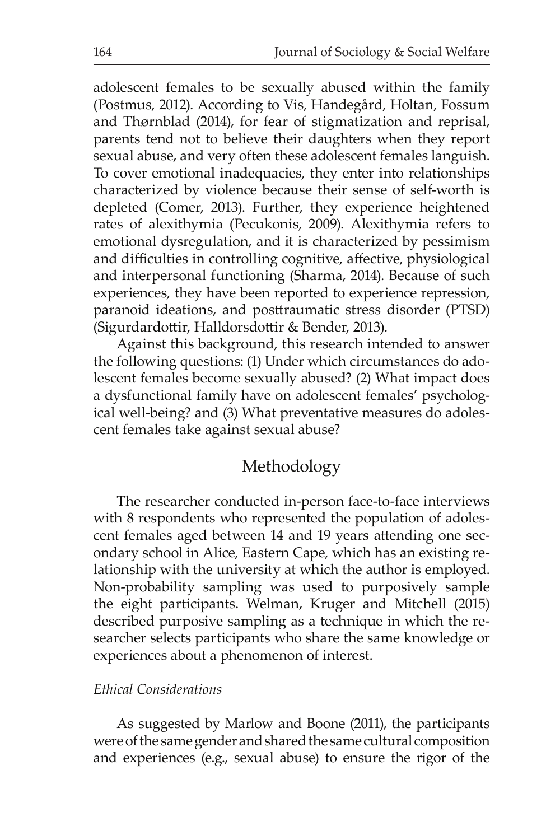adolescent females to be sexually abused within the family (Postmus, 2012). According to Vis, Handegård, Holtan, Fossum and Thørnblad (2014), for fear of stigmatization and reprisal, parents tend not to believe their daughters when they report sexual abuse, and very often these adolescent females languish. To cover emotional inadequacies, they enter into relationships characterized by violence because their sense of self-worth is depleted (Comer, 2013). Further, they experience heightened rates of alexithymia (Pecukonis, 2009). Alexithymia refers to emotional dysregulation, and it is characterized by pessimism and difficulties in controlling cognitive, affective, physiological and interpersonal functioning (Sharma, 2014). Because of such experiences, they have been reported to experience repression, paranoid ideations, and posttraumatic stress disorder (PTSD) (Sigurdardottir, Halldorsdottir & Bender, 2013).

 Against this background, this research intended to answer the following questions: (1) Under which circumstances do adolescent females become sexually abused? (2) What impact does a dysfunctional family have on adolescent females' psychological well-being? and (3) What preventative measures do adolescent females take against sexual abuse?

# Methodology

 The researcher conducted in-person face-to-face interviews with 8 respondents who represented the population of adolescent females aged between 14 and 19 years attending one secondary school in Alice, Eastern Cape, which has an existing relationship with the university at which the author is employed. Non-probability sampling was used to purposively sample the eight participants. Welman, Kruger and Mitchell (2015) described purposive sampling as a technique in which the researcher selects participants who share the same knowledge or experiences about a phenomenon of interest.

#### *Ethical Considerations*

 As suggested by Marlow and Boone (2011), the participants were of the same gender and shared the same cultural composition and experiences (e.g., sexual abuse) to ensure the rigor of the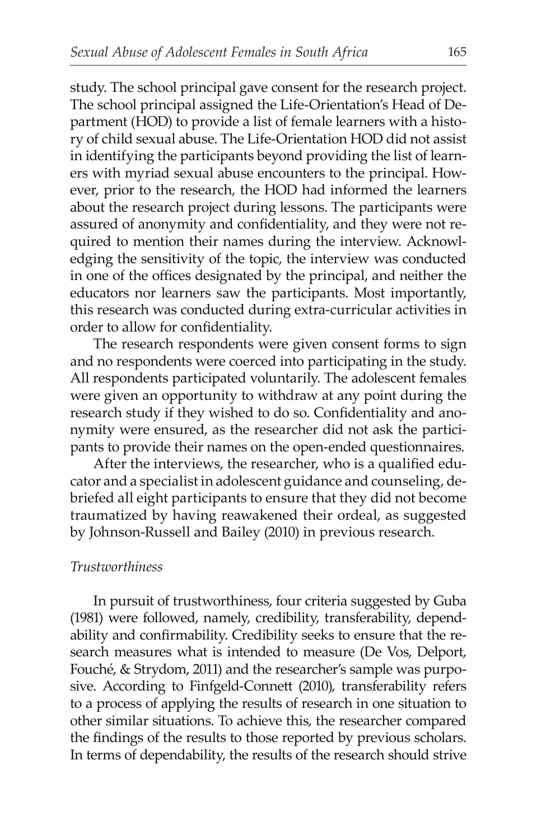study. The school principal gave consent for the research project. The school principal assigned the Life-Orientation's Head of Department (HOD) to provide a list of female learners with a history of child sexual abuse. The Life-Orientation HOD did not assist in identifying the participants beyond providing the list of learners with myriad sexual abuse encounters to the principal. However, prior to the research, the HOD had informed the learners about the research project during lessons. The participants were assured of anonymity and confidentiality, and they were not required to mention their names during the interview. Acknowledging the sensitivity of the topic, the interview was conducted in one of the offices designated by the principal, and neither the educators nor learners saw the participants. Most importantly, this research was conducted during extra-curricular activities in order to allow for confidentiality.

 The research respondents were given consent forms to sign and no respondents were coerced into participating in the study. All respondents participated voluntarily. The adolescent females were given an opportunity to withdraw at any point during the research study if they wished to do so. Confidentiality and anonymity were ensured, as the researcher did not ask the participants to provide their names on the open-ended questionnaires.

After the interviews, the researcher, who is a qualified educator and a specialist in adolescent guidance and counseling, debriefed all eight participants to ensure that they did not become traumatized by having reawakened their ordeal, as suggested by Johnson-Russell and Bailey (2010) in previous research.

#### *Trustworthiness*

 In pursuit of trustworthiness, four criteria suggested by Guba (1981) were followed, namely, credibility, transferability, dependability and confirmability. Credibility seeks to ensure that the research measures what is intended to measure (De Vos, Delport, Fouché, & Strydom, 2011) and the researcher's sample was purposive. According to Finfgeld-Connett (2010), transferability refers to a process of applying the results of research in one situation to other similar situations. To achieve this, the researcher compared the findings of the results to those reported by previous scholars. In terms of dependability, the results of the research should strive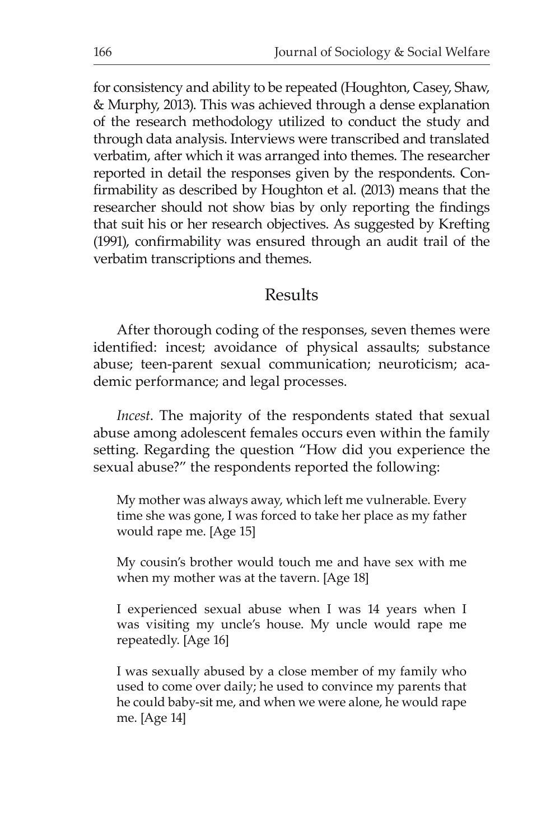for consistency and ability to be repeated (Houghton, Casey, Shaw, & Murphy, 2013). This was achieved through a dense explanation of the research methodology utilized to conduct the study and through data analysis. Interviews were transcribed and translated verbatim, after which it was arranged into themes. The researcher reported in detail the responses given by the respondents. Confirmability as described by Houghton et al. (2013) means that the researcher should not show bias by only reporting the findings that suit his or her research objectives. As suggested by Krefting (1991), confirmability was ensured through an audit trail of the verbatim transcriptions and themes.

# Results

 After thorough coding of the responses, seven themes were identified: incest; avoidance of physical assaults; substance abuse; teen-parent sexual communication; neuroticism; academic performance; and legal processes.

*Incest*. The majority of the respondents stated that sexual abuse among adolescent females occurs even within the family setting. Regarding the question "How did you experience the sexual abuse?" the respondents reported the following:

My mother was always away, which left me vulnerable. Every time she was gone, I was forced to take her place as my father would rape me. [Age 15]

My cousin's brother would touch me and have sex with me when my mother was at the tavern. [Age 18]

I experienced sexual abuse when I was 14 years when I was visiting my uncle's house. My uncle would rape me repeatedly. [Age 16]

I was sexually abused by a close member of my family who used to come over daily; he used to convince my parents that he could baby-sit me, and when we were alone, he would rape me. [Age 14]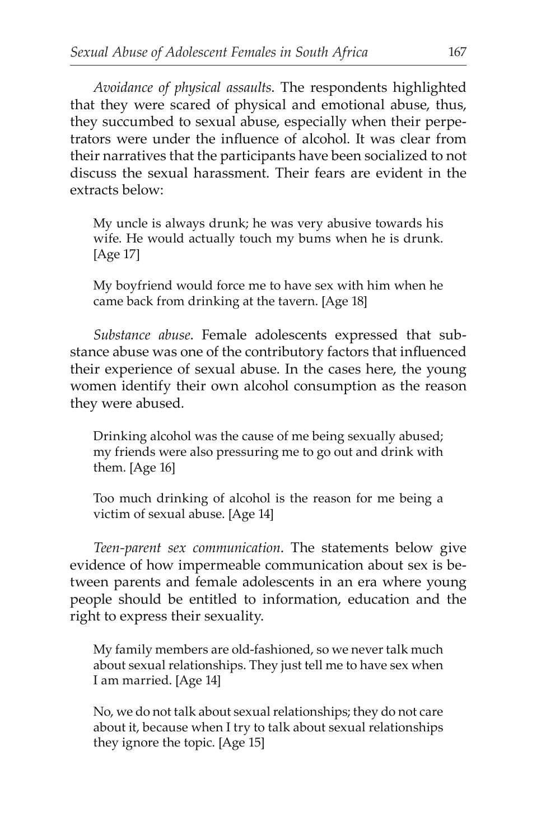*Avoidance of physical assaults*. The respondents highlighted that they were scared of physical and emotional abuse, thus, they succumbed to sexual abuse, especially when their perpetrators were under the influence of alcohol. It was clear from their narratives that the participants have been socialized to not discuss the sexual harassment. Their fears are evident in the extracts below:

My uncle is always drunk; he was very abusive towards his wife. He would actually touch my bums when he is drunk. [Age 17]

My boyfriend would force me to have sex with him when he came back from drinking at the tavern. [Age 18]

 *Substance abuse*. Female adolescents expressed that substance abuse was one of the contributory factors that influenced their experience of sexual abuse. In the cases here, the young women identify their own alcohol consumption as the reason they were abused.

Drinking alcohol was the cause of me being sexually abused; my friends were also pressuring me to go out and drink with them. [Age 16]

Too much drinking of alcohol is the reason for me being a victim of sexual abuse. [Age 14]

 *Teen-parent sex communication*. The statements below give evidence of how impermeable communication about sex is between parents and female adolescents in an era where young people should be entitled to information, education and the right to express their sexuality.

My family members are old-fashioned, so we never talk much about sexual relationships. They just tell me to have sex when I am married. [Age 14]

No, we do not talk about sexual relationships; they do not care about it, because when I try to talk about sexual relationships they ignore the topic. [Age 15]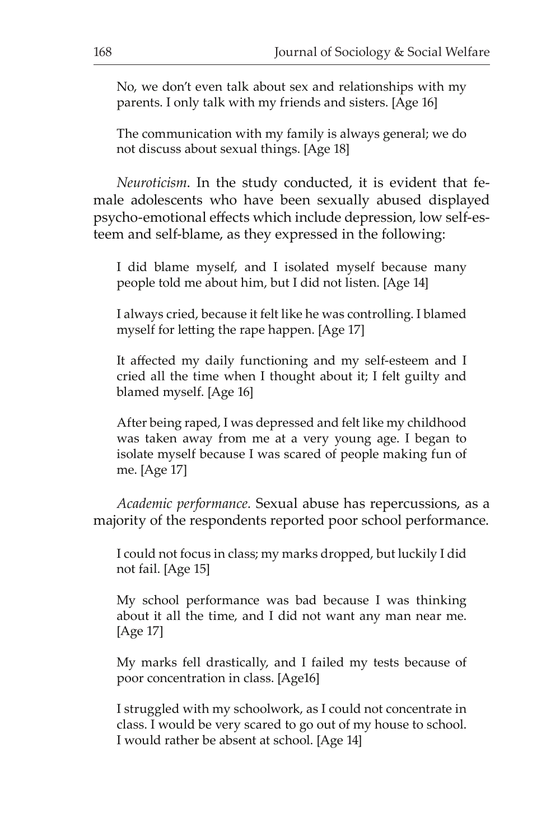No, we don't even talk about sex and relationships with my parents. I only talk with my friends and sisters. [Age 16]

The communication with my family is always general; we do not discuss about sexual things. [Age 18]

 *Neuroticism*. In the study conducted, it is evident that female adolescents who have been sexually abused displayed psycho-emotional effects which include depression, low self-esteem and self-blame, as they expressed in the following:

I did blame myself, and I isolated myself because many people told me about him, but I did not listen. [Age 14]

I always cried, because it felt like he was controlling. I blamed myself for letting the rape happen. [Age 17]

It affected my daily functioning and my self-esteem and I cried all the time when I thought about it; I felt guilty and blamed myself. [Age 16]

After being raped, I was depressed and felt like my childhood was taken away from me at a very young age. I began to isolate myself because I was scared of people making fun of me. [Age 17]

 *Academic performance.* Sexual abuse has repercussions, as a majority of the respondents reported poor school performance.

I could not focus in class; my marks dropped, but luckily I did not fail. [Age 15]

My school performance was bad because I was thinking about it all the time, and I did not want any man near me. [Age 17]

My marks fell drastically, and I failed my tests because of poor concentration in class. [Age16]

I struggled with my schoolwork, as I could not concentrate in class. I would be very scared to go out of my house to school. I would rather be absent at school. [Age 14]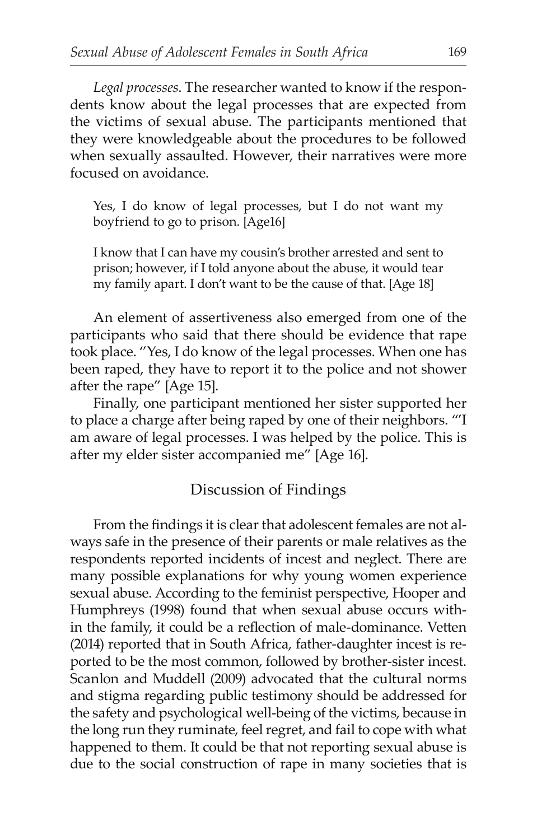*Legal processes*. The researcher wanted to know if the respondents know about the legal processes that are expected from the victims of sexual abuse. The participants mentioned that they were knowledgeable about the procedures to be followed when sexually assaulted. However, their narratives were more focused on avoidance.

Yes, I do know of legal processes, but I do not want my boyfriend to go to prison. [Age16]

I know that I can have my cousin's brother arrested and sent to prison; however, if I told anyone about the abuse, it would tear my family apart. I don't want to be the cause of that. [Age 18]

 An element of assertiveness also emerged from one of the participants who said that there should be evidence that rape took place. ''Yes, I do know of the legal processes. When one has been raped, they have to report it to the police and not shower after the rape" [Age 15].

 Finally, one participant mentioned her sister supported her to place a charge after being raped by one of their neighbors. "'I am aware of legal processes. I was helped by the police. This is after my elder sister accompanied me" [Age 16].

### Discussion of Findings

From the findings it is clear that adolescent females are not always safe in the presence of their parents or male relatives as the respondents reported incidents of incest and neglect. There are many possible explanations for why young women experience sexual abuse. According to the feminist perspective, Hooper and Humphreys (1998) found that when sexual abuse occurs within the family, it could be a reflection of male-dominance. Vetten (2014) reported that in South Africa, father-daughter incest is reported to be the most common, followed by brother-sister incest. Scanlon and Muddell (2009) advocated that the cultural norms and stigma regarding public testimony should be addressed for the safety and psychological well-being of the victims, because in the long run they ruminate, feel regret, and fail to cope with what happened to them. It could be that not reporting sexual abuse is due to the social construction of rape in many societies that is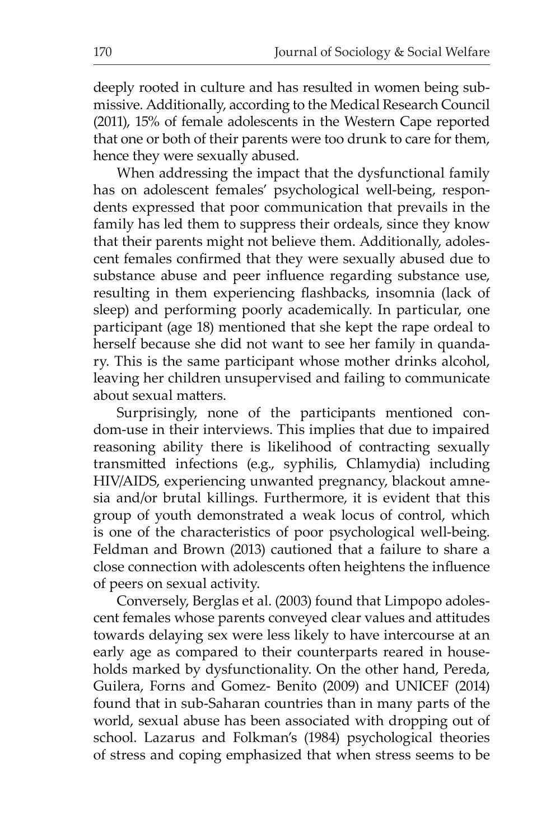deeply rooted in culture and has resulted in women being submissive. Additionally, according to the Medical Research Council (2011), 15% of female adolescents in the Western Cape reported that one or both of their parents were too drunk to care for them, hence they were sexually abused.

 When addressing the impact that the dysfunctional family has on adolescent females' psychological well-being, respondents expressed that poor communication that prevails in the family has led them to suppress their ordeals, since they know that their parents might not believe them. Additionally, adolescent females confirmed that they were sexually abused due to substance abuse and peer influence regarding substance use, resulting in them experiencing flashbacks, insomnia (lack of sleep) and performing poorly academically. In particular, one participant (age 18) mentioned that she kept the rape ordeal to herself because she did not want to see her family in quandary. This is the same participant whose mother drinks alcohol, leaving her children unsupervised and failing to communicate about sexual matters.

 Surprisingly, none of the participants mentioned condom-use in their interviews. This implies that due to impaired reasoning ability there is likelihood of contracting sexually transmitted infections (e.g., syphilis, Chlamydia) including HIV/AIDS, experiencing unwanted pregnancy, blackout amnesia and/or brutal killings. Furthermore, it is evident that this group of youth demonstrated a weak locus of control, which is one of the characteristics of poor psychological well-being. Feldman and Brown (2013) cautioned that a failure to share a close connection with adolescents often heightens the influence of peers on sexual activity.

 Conversely, Berglas et al. (2003) found that Limpopo adolescent females whose parents conveyed clear values and attitudes towards delaying sex were less likely to have intercourse at an early age as compared to their counterparts reared in households marked by dysfunctionality. On the other hand, Pereda, Guilera, Forns and Gomez- Benito (2009) and UNICEF (2014) found that in sub-Saharan countries than in many parts of the world, sexual abuse has been associated with dropping out of school. Lazarus and Folkman's (1984) psychological theories of stress and coping emphasized that when stress seems to be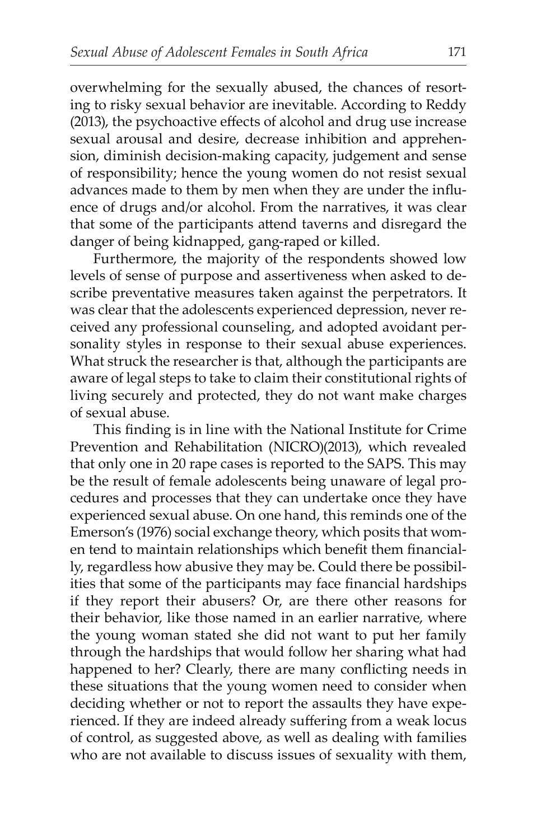overwhelming for the sexually abused, the chances of resorting to risky sexual behavior are inevitable. According to Reddy (2013), the psychoactive effects of alcohol and drug use increase sexual arousal and desire, decrease inhibition and apprehension, diminish decision-making capacity, judgement and sense of responsibility; hence the young women do not resist sexual advances made to them by men when they are under the influence of drugs and/or alcohol. From the narratives, it was clear that some of the participants attend taverns and disregard the danger of being kidnapped, gang-raped or killed.

 Furthermore, the majority of the respondents showed low levels of sense of purpose and assertiveness when asked to describe preventative measures taken against the perpetrators. It was clear that the adolescents experienced depression, never received any professional counseling, and adopted avoidant personality styles in response to their sexual abuse experiences. What struck the researcher is that, although the participants are aware of legal steps to take to claim their constitutional rights of living securely and protected, they do not want make charges of sexual abuse.

This finding is in line with the National Institute for Crime Prevention and Rehabilitation (NICRO)(2013), which revealed that only one in 20 rape cases is reported to the SAPS. This may be the result of female adolescents being unaware of legal procedures and processes that they can undertake once they have experienced sexual abuse. On one hand, this reminds one of the Emerson's (1976) social exchange theory, which posits that women tend to maintain relationships which benefit them financially, regardless how abusive they may be. Could there be possibilities that some of the participants may face financial hardships if they report their abusers? Or, are there other reasons for their behavior, like those named in an earlier narrative, where the young woman stated she did not want to put her family through the hardships that would follow her sharing what had happened to her? Clearly, there are many conflicting needs in these situations that the young women need to consider when deciding whether or not to report the assaults they have experienced. If they are indeed already suffering from a weak locus of control, as suggested above, as well as dealing with families who are not available to discuss issues of sexuality with them,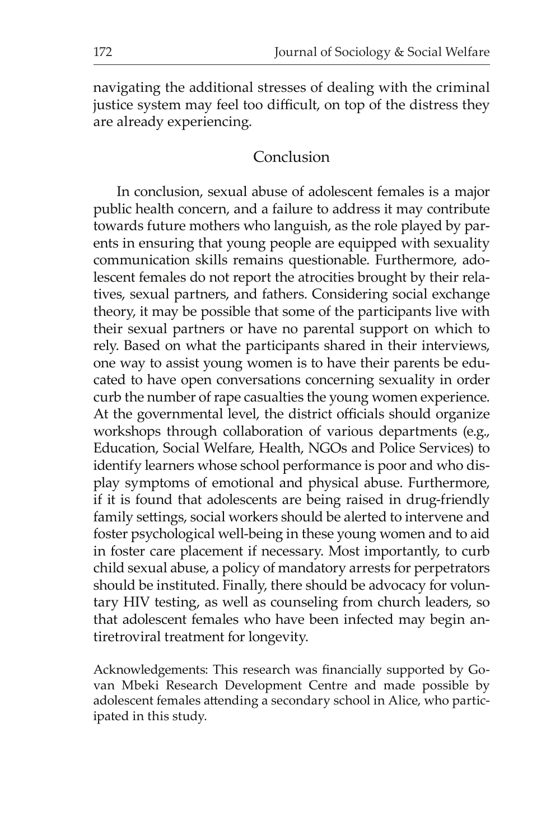navigating the additional stresses of dealing with the criminal justice system may feel too difficult, on top of the distress they are already experiencing.

### Conclusion

 In conclusion, sexual abuse of adolescent females is a major public health concern, and a failure to address it may contribute towards future mothers who languish, as the role played by parents in ensuring that young people are equipped with sexuality communication skills remains questionable. Furthermore, adolescent females do not report the atrocities brought by their relatives, sexual partners, and fathers. Considering social exchange theory, it may be possible that some of the participants live with their sexual partners or have no parental support on which to rely. Based on what the participants shared in their interviews, one way to assist young women is to have their parents be educated to have open conversations concerning sexuality in order curb the number of rape casualties the young women experience. At the governmental level, the district officials should organize workshops through collaboration of various departments (e.g., Education, Social Welfare, Health, NGOs and Police Services) to identify learners whose school performance is poor and who display symptoms of emotional and physical abuse. Furthermore, if it is found that adolescents are being raised in drug-friendly family settings, social workers should be alerted to intervene and foster psychological well-being in these young women and to aid in foster care placement if necessary. Most importantly, to curb child sexual abuse, a policy of mandatory arrests for perpetrators should be instituted. Finally, there should be advocacy for voluntary HIV testing, as well as counseling from church leaders, so that adolescent females who have been infected may begin antiretroviral treatment for longevity.

Acknowledgements: This research was financially supported by Govan Mbeki Research Development Centre and made possible by adolescent females attending a secondary school in Alice, who participated in this study.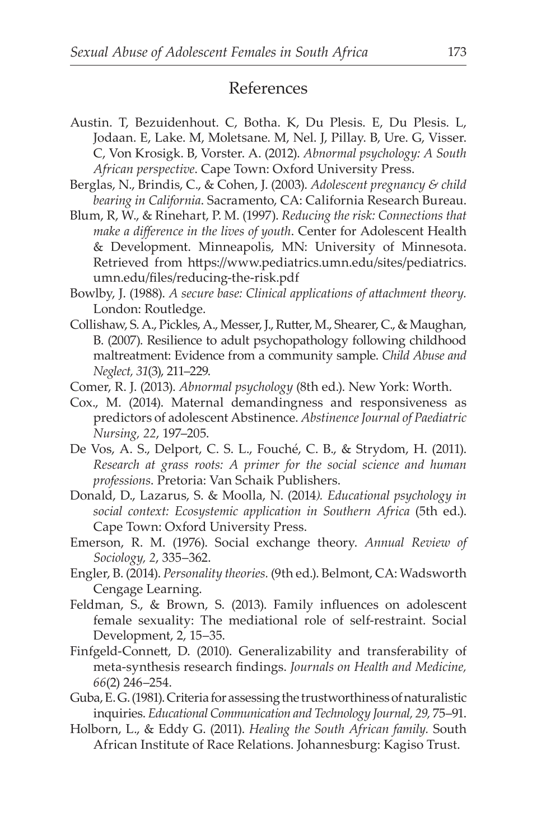# References

- Austin. T, Bezuidenhout. C, Botha. K, Du Plesis. E, Du Plesis. L, Jodaan. E, Lake. M, Moletsane. M, Nel. J, Pillay. B, Ure. G, Visser. C, Von Krosigk. B, Vorster. A. (2012). *Abnormal psychology: A South African perspective*. Cape Town: Oxford University Press.
- Berglas, N., Brindis, C., & Cohen, J. (2003). *Adolescent pregnancy & child bearing in California*. Sacramento, CA: California Research Bureau.
- Blum, R, W., & Rinehart, P. M. (1997). *Reducing the risk: Connections that make a difference in the lives of youth*. Center for Adolescent Health & Development. Minneapolis, MN: University of Minnesota. Retrieved from https://www.pediatrics.umn.edu/sites/pediatrics. umn.edu/files/reducing-the-risk.pdf
- Bowlby, J. (1988). *A secure base: Clinical applications of attachment theory.* London: Routledge.
- Collishaw, S. A., Pickles, A., Messer, J., Rutter, M., Shearer, C., & Maughan, B. (2007). Resilience to adult psychopathology following childhood maltreatment: Evidence from a community sample. *Child Abuse and Neglect, 31*(3), 211–229.
- Comer, R. J. (2013). *Abnormal psychology* (8th ed.). New York: Worth.
- Cox., M. (2014). Maternal demandingness and responsiveness as predictors of adolescent Abstinence. *Abstinence Journal of Paediatric Nursing, 22*, 197–205.
- De Vos, A. S., Delport, C. S. L., Fouché, C. B., & Strydom, H. (2011). *Research at grass roots: A primer for the social science and human professions*. Pretoria: Van Schaik Publishers.
- Donald, D., Lazarus, S. & Moolla, N. (2014*). Educational psychology in social context: Ecosystemic application in Southern Africa* (5th ed.). Cape Town: Oxford University Press.
- Emerson, R. M. (1976). Social exchange theory. *Annual Review of Sociology, 2*, 335–362.
- Engler, B. (2014). *Personality theories.* (9th ed.). Belmont, CA: Wadsworth Cengage Learning.
- Feldman, S., & Brown, S. (2013). Family influences on adolescent female sexuality: The mediational role of self-restraint. Social Development, 2, 15–35.
- Finfgeld-Connett, D. (2010). Generalizability and transferability of meta-synthesis research findings. *Journals on Health and Medicine, 66*(2) 246–254.
- Guba, E. G. (1981). Criteria for assessing the trustworthiness of naturalistic inquiries. *Educational Communication and Technology Journal, 29,* 75–91.
- Holborn, L., & Eddy G. (2011). *Healing the South African family.* South African Institute of Race Relations. Johannesburg: Kagiso Trust.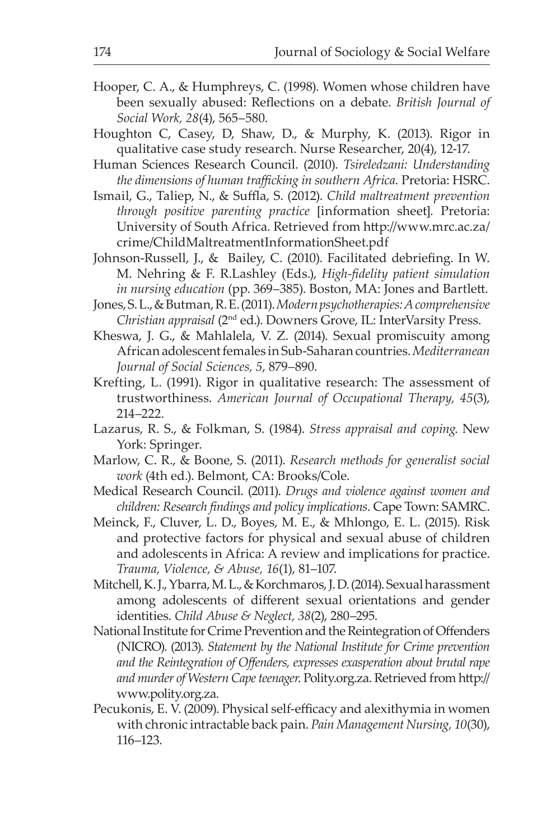- Hooper, C. A., & Humphreys, C. (1998). Women whose children have been sexually abused: Reflections on a debate. *British Journal of Social Work, 28*(4), 565–580.
- Houghton C, Casey, D, Shaw, D., & Murphy, K. (2013). Rigor in qualitative case study research. Nurse Researcher, 20(4), 12-17.
- Human Sciences Research Council. (2010). *Tsireledzani: Understanding the dimensions of human trafficking in southern Africa.* Pretoria: HSRC.
- Ismail, G., Taliep, N., & Suffla, S. (2012). *Child maltreatment prevention through positive parenting practice* [information sheet]*.* Pretoria: University of South Africa. Retrieved from http://www.mrc.ac.za/ crime/ChildMaltreatmentInformationSheet.pdf
- Johnson-Russell, J., & Bailey, C. (2010). Facilitated debriefing. In W. M. Nehring & F. R.Lashley (Eds.), *High-fidelity patient simulation in nursing education* (pp. 369–385). Boston, MA: Jones and Bartlett.
- Jones, S. L., & Butman, R. E. (2011). *Modern psychotherapies: A comprehensive Christian appraisal* (2nd ed.). Downers Grove, IL: InterVarsity Press.
- Kheswa, J. G., & Mahlalela, V. Z. (2014). Sexual promiscuity among African adolescent females in Sub-Saharan countries. *Mediterranean Journal of Social Sciences, 5*, 879–890.
- Krefting, L. (1991). Rigor in qualitative research: The assessment of trustworthiness. *American Journal of Occupational Therapy, 45*(3), 214–222.
- Lazarus, R. S., & Folkman, S. (1984). *Stress appraisal and coping*. New York: Springer.
- Marlow, C. R., & Boone, S. (2011). *Research methods for generalist social work* (4th ed.). Belmont, CA: Brooks/Cole.
- Medical Research Council. (2011). *Drugs and violence against women and children: Research findings and policy implications*. Cape Town: SAMRC.
- Meinck, F., Cluver, L. D., Boyes, M. E., & Mhlongo, E. L. (2015). Risk and protective factors for physical and sexual abuse of children and adolescents in Africa: A review and implications for practice. *Trauma, Violence, & Abuse, 16*(1), 81–107.
- Mitchell, K. J., Ybarra, M. L., & Korchmaros, J. D. (2014). Sexual harassment among adolescents of different sexual orientations and gender identities. *Child Abuse & Neglect, 38*(2), 280–295.
- National Institute for Crime Prevention and the Reintegration of Offenders (NICRO). (2013). *Statement by the National Institute for Crime prevention and the Reintegration of Offenders, expresses exasperation about brutal rape and murder of Western Cape teenager*. Polity.org.za. Retrieved from http:// www.polity.org.za.
- Pecukonis, E. V. (2009). Physical self-efficacy and alexithymia in women with chronic intractable back pain. *Pain Management Nursing, 10*(30), 116–123.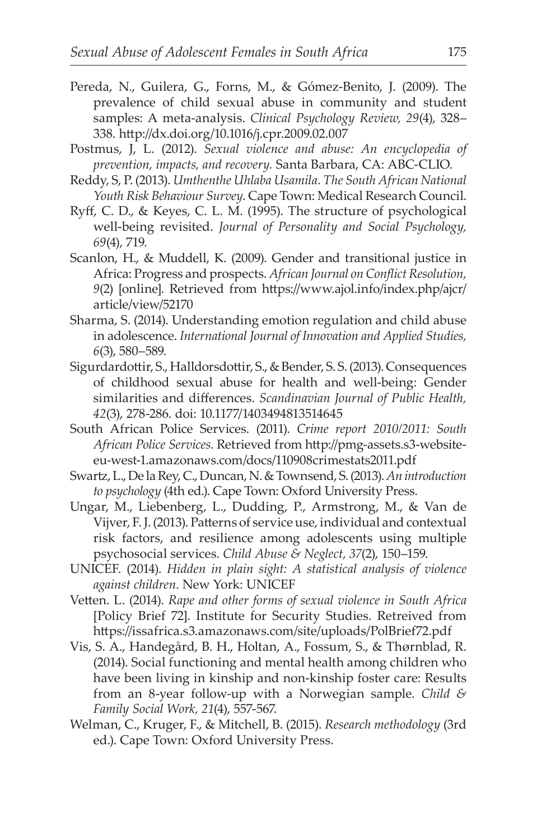- Pereda, N., Guilera, G., Forns, M., & Gómez-Benito, J. (2009). The prevalence of child sexual abuse in community and student samples: A meta-analysis. *Clinical Psychology Review, 29*(4), 328– 338. http://dx.doi.org/10.1016/j.cpr.2009.02.007
- Postmus, J, L. (2012). *Sexual violence and abuse: An encyclopedia of prevention, impacts, and recovery.* Santa Barbara, CA: ABC-CLIO.
- Reddy, S, P. (2013). *Umthenthe Uhlaba Usamila. The South African National Youth Risk Behaviour Survey*. Cape Town: Medical Research Council.
- Ryff, C. D., & Keyes, C. L. M. (1995). The structure of psychological well-being revisited. *Journal of Personality and Social Psychology, 69*(4), 719.
- Scanlon, H., & Muddell, K. (2009). Gender and transitional justice in Africa: Progress and prospects. *African Journal on Conflict Resolution, 9*(2) [online]. Retrieved from https://www.ajol.info/index.php/ajcr/ article/view/52170
- Sharma, S. (2014). Understanding emotion regulation and child abuse in adolescence. *International Journal of Innovation and Applied Studies, 6*(3), 580–589.
- Sigurdardottir, S., Halldorsdottir, S., & Bender, S. S. (2013). Consequences of childhood sexual abuse for health and well-being: Gender similarities and differences. *Scandinavian Journal of Public Health, 42*(3), 278-286. doi: 10.1177/1403494813514645
- South African Police Services. (2011). *Crime report 2010/2011: South African Police Services*. Retrieved from http://pmg-assets.s3-websiteeu-west-1.amazonaws.com/docs/110908crimestats2011.pdf
- Swartz, L., De la Rey, C., Duncan, N. & Townsend, S. (2013). *An introduction to psychology* (4th ed.). Cape Town: Oxford University Press.
- Ungar, M., Liebenberg, L., Dudding, P., Armstrong, M., & Van de Vijver, F. J. (2013). Patterns of service use, individual and contextual risk factors, and resilience among adolescents using multiple psychosocial services. *Child Abuse & Neglect, 37*(2), 150–159.
- UNICEF. (2014). *Hidden in plain sight: A statistical analysis of violence against children*. New York: UNICEF
- Vetten. L. (2014). *Rape and other forms of sexual violence in South Africa* [Policy Brief 72]. Institute for Security Studies. Retreived from https://issafrica.s3.amazonaws.com/site/uploads/PolBrief72.pdf
- Vis, S. A., Handegård, B. H., Holtan, A., Fossum, S., & Thørnblad, R. (2014). Social functioning and mental health among children who have been living in kinship and non-kinship foster care: Results from an 8-year follow-up with a Norwegian sample. *Child & Family Social Work, 21*(4), 557-567.
- Welman, C., Kruger, F., & Mitchell, B. (2015). *Research methodology* (3rd ed.). Cape Town: Oxford University Press.